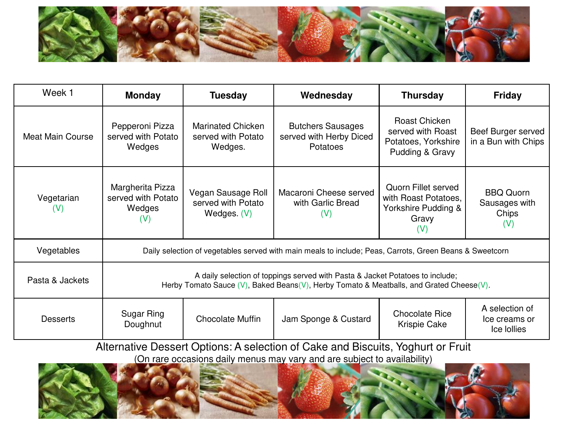

| Week 1                       | <b>Monday</b>                                                                                                                                                               | <b>Tuesday</b>                                            | Wednesday                                                       | <b>Thursday</b>                                                                    | <b>Friday</b>                                     |  |  |
|------------------------------|-----------------------------------------------------------------------------------------------------------------------------------------------------------------------------|-----------------------------------------------------------|-----------------------------------------------------------------|------------------------------------------------------------------------------------|---------------------------------------------------|--|--|
| Meat Main Course             | Pepperoni Pizza<br>served with Potato<br>Wedges                                                                                                                             | <b>Marinated Chicken</b><br>served with Potato<br>Wedges. | <b>Butchers Sausages</b><br>served with Herby Diced<br>Potatoes | Roast Chicken<br>served with Roast<br>Potatoes, Yorkshire<br>Pudding & Gravy       | Beef Burger served<br>in a Bun with Chips         |  |  |
| Vegetarian<br>$(\mathsf{V})$ | Margherita Pizza<br>served with Potato<br>Wedges<br>(V)                                                                                                                     | Vegan Sausage Roll<br>served with Potato<br>Wedges. (V)   | Macaroni Cheese served<br>with Garlic Bread<br>(V)              | Quorn Fillet served<br>with Roast Potatoes,<br>Yorkshire Pudding &<br>Gravy<br>(V) | <b>BBQ Quorn</b><br>Sausages with<br>Chips<br>(V) |  |  |
| Vegetables                   | Daily selection of vegetables served with main meals to include; Peas, Carrots, Green Beans & Sweetcorn                                                                     |                                                           |                                                                 |                                                                                    |                                                   |  |  |
| Pasta & Jackets              | A daily selection of toppings served with Pasta & Jacket Potatoes to include;<br>Herby Tomato Sauce $(V)$ , Baked Beans(V), Herby Tomato & Meatballs, and Grated Cheese(V). |                                                           |                                                                 |                                                                                    |                                                   |  |  |
| <b>Desserts</b>              | Sugar Ring<br>Doughnut                                                                                                                                                      | <b>Chocolate Muffin</b>                                   | Jam Sponge & Custard                                            | <b>Chocolate Rice</b><br>Krispie Cake                                              | A selection of<br>Ice creams or<br>Ice Iollies    |  |  |

Alternative Dessert Options: A selection of Cake and Biscuits, Yoghurt or Fruit (On rare occasions daily menus may vary and are subject to availability)

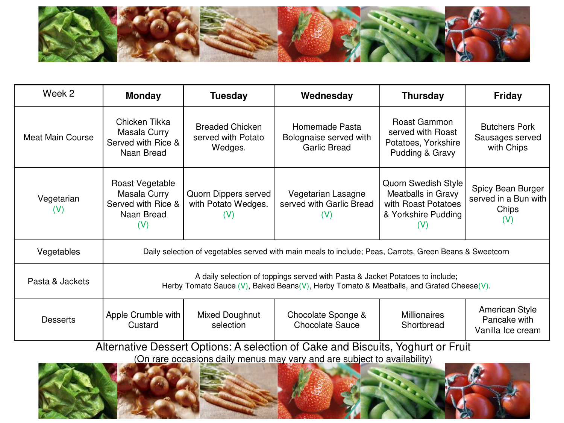

| Week 2                  | <b>Monday</b>                                                                                                                                                               | <b>Tuesday</b>                                          | Wednesday                                                       | <b>Thursday</b>                                                                                | <b>Friday</b>                                             |  |
|-------------------------|-----------------------------------------------------------------------------------------------------------------------------------------------------------------------------|---------------------------------------------------------|-----------------------------------------------------------------|------------------------------------------------------------------------------------------------|-----------------------------------------------------------|--|
| <b>Meat Main Course</b> | Chicken Tikka<br>Masala Curry<br>Served with Rice &<br>Naan Bread                                                                                                           | <b>Breaded Chicken</b><br>served with Potato<br>Wedges. | Homemade Pasta<br>Bolognaise served with<br><b>Garlic Bread</b> | Roast Gammon<br>served with Roast<br>Potatoes, Yorkshire<br>Pudding & Gravy                    | <b>Butchers Pork</b><br>Sausages served<br>with Chips     |  |
| Vegetarian<br>(V)       | Roast Vegetable<br>Masala Curry<br>Served with Rice &<br>Naan Bread<br>(V)                                                                                                  | Quorn Dippers served<br>with Potato Wedges.<br>(V)      | Vegetarian Lasagne<br>served with Garlic Bread<br>(V)           | Quorn Swedish Style<br>Meatballs in Gravy<br>with Roast Potatoes<br>& Yorkshire Pudding<br>(V) | Spicy Bean Burger<br>served in a Bun with<br>Chips<br>(V) |  |
| Vegetables              | Daily selection of vegetables served with main meals to include; Peas, Carrots, Green Beans & Sweetcorn                                                                     |                                                         |                                                                 |                                                                                                |                                                           |  |
| Pasta & Jackets         | A daily selection of toppings served with Pasta & Jacket Potatoes to include;<br>Herby Tomato Sauce $(V)$ , Baked Beans(V), Herby Tomato & Meatballs, and Grated Cheese(V). |                                                         |                                                                 |                                                                                                |                                                           |  |
| <b>Desserts</b>         | Apple Crumble with<br>Custard                                                                                                                                               | Mixed Doughnut<br>selection                             | Chocolate Sponge &<br><b>Chocolate Sauce</b>                    | <b>Millionaires</b><br>Shortbread                                                              | American Style<br>Pancake with<br>Vanilla Ice cream       |  |

Alternative Dessert Options: A selection of Cake and Biscuits, Yoghurt or Fruit (On rare occasions daily menus may vary and are subject to availability)